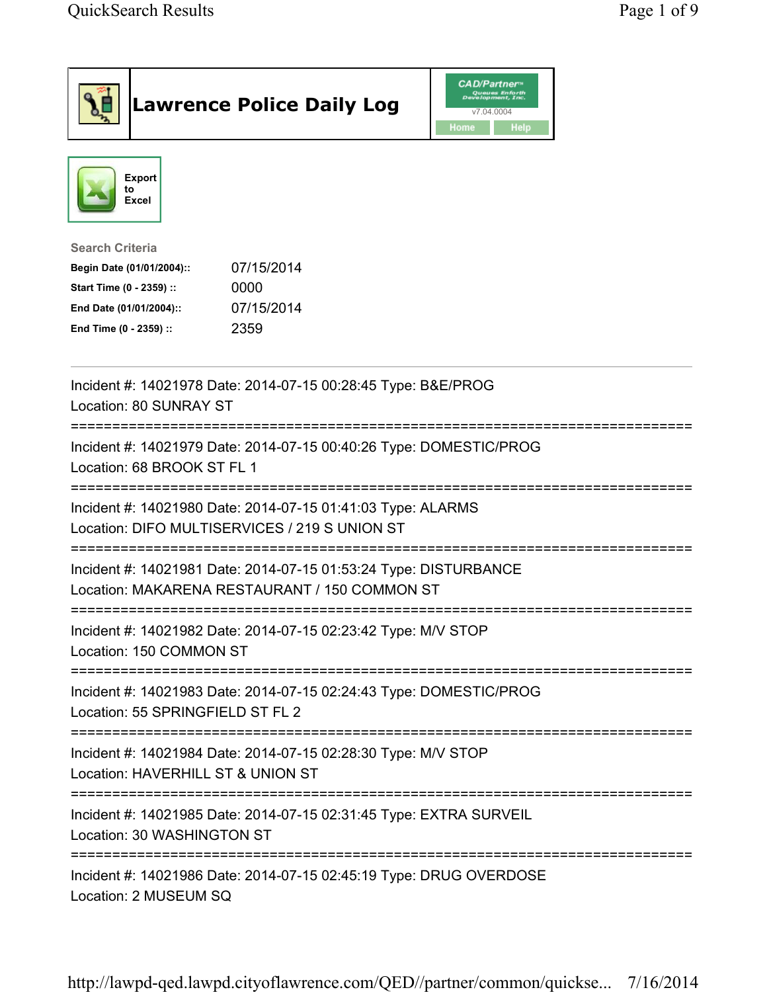|                                                                                                                                      | <b>Lawrence Police Daily Log</b>                                                                                  | <i><b>CAD/Partner</b></i><br>Queues Enforth<br>Development, Inc.<br>v7.04.0004<br>Home<br><b>Help</b> |  |
|--------------------------------------------------------------------------------------------------------------------------------------|-------------------------------------------------------------------------------------------------------------------|-------------------------------------------------------------------------------------------------------|--|
| Export<br>to<br>Excel                                                                                                                |                                                                                                                   |                                                                                                       |  |
| <b>Search Criteria</b><br>Begin Date (01/01/2004)::<br>Start Time (0 - 2359) ::<br>End Date (01/01/2004)::<br>End Time (0 - 2359) :: | 07/15/2014<br>0000<br>07/15/2014<br>2359                                                                          |                                                                                                       |  |
| Location: 80 SUNRAY ST                                                                                                               | Incident #: 14021978 Date: 2014-07-15 00:28:45 Type: B&E/PROG                                                     |                                                                                                       |  |
| Location: 68 BROOK ST FL 1                                                                                                           | Incident #: 14021979 Date: 2014-07-15 00:40:26 Type: DOMESTIC/PROG                                                |                                                                                                       |  |
|                                                                                                                                      | Incident #: 14021980 Date: 2014-07-15 01:41:03 Type: ALARMS<br>Location: DIFO MULTISERVICES / 219 S UNION ST      |                                                                                                       |  |
|                                                                                                                                      | Incident #: 14021981 Date: 2014-07-15 01:53:24 Type: DISTURBANCE<br>Location: MAKARENA RESTAURANT / 150 COMMON ST |                                                                                                       |  |
| Location: 150 COMMON ST                                                                                                              | Incident #: 14021982 Date: 2014-07-15 02:23:42 Type: M/V STOP                                                     |                                                                                                       |  |
| Location: 55 SPRINGFIELD ST FL 2                                                                                                     | Incident #: 14021983 Date: 2014-07-15 02:24:43 Type: DOMESTIC/PROG                                                |                                                                                                       |  |
| Location: HAVERHILL ST & UNION ST                                                                                                    | Incident #: 14021984 Date: 2014-07-15 02:28:30 Type: M/V STOP                                                     |                                                                                                       |  |
| Location: 30 WASHINGTON ST                                                                                                           | Incident #: 14021985 Date: 2014-07-15 02:31:45 Type: EXTRA SURVEIL                                                |                                                                                                       |  |
| Location: 2 MUSEUM SQ                                                                                                                | Incident #: 14021986 Date: 2014-07-15 02:45:19 Type: DRUG OVERDOSE                                                |                                                                                                       |  |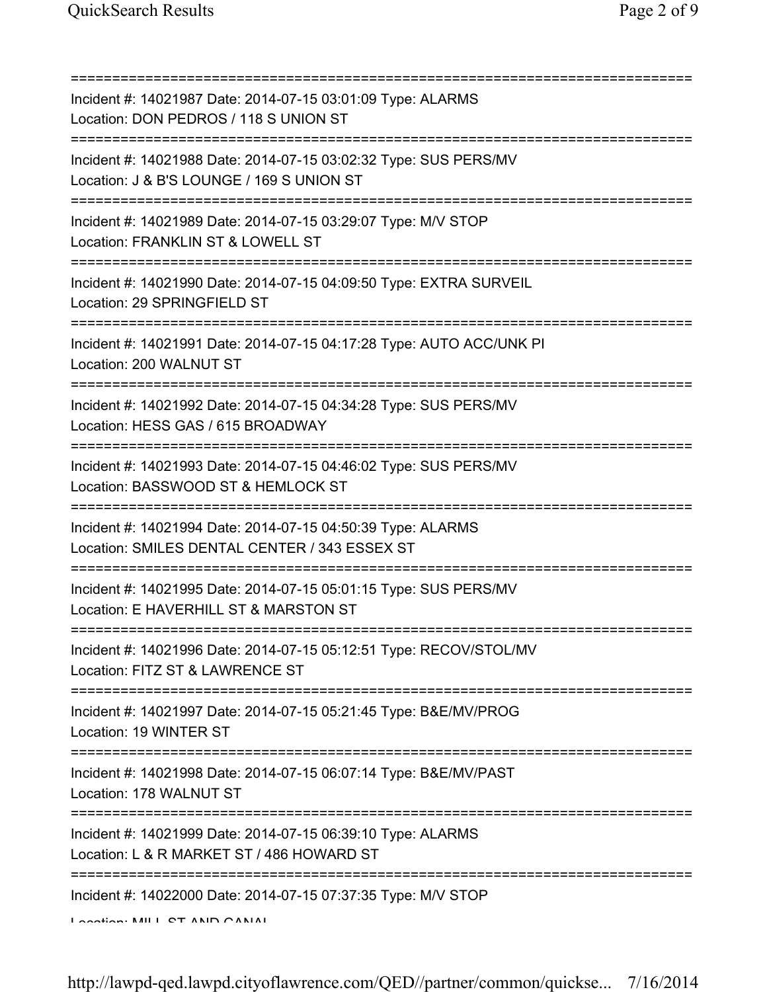=========================================================================== Incident #: 14021987 Date: 2014-07-15 03:01:09 Type: ALARMS Location: DON PEDROS / 118 S UNION ST =========================================================================== Incident #: 14021988 Date: 2014-07-15 03:02:32 Type: SUS PERS/MV Location: J & B'S LOUNGE / 169 S UNION ST =========================================================================== Incident #: 14021989 Date: 2014-07-15 03:29:07 Type: M/V STOP Location: FRANKLIN ST & LOWELL ST =========================================================================== Incident #: 14021990 Date: 2014-07-15 04:09:50 Type: EXTRA SURVEIL Location: 29 SPRINGFIELD ST =========================================================================== Incident #: 14021991 Date: 2014-07-15 04:17:28 Type: AUTO ACC/UNK PI Location: 200 WALNUT ST =========================================================================== Incident #: 14021992 Date: 2014-07-15 04:34:28 Type: SUS PERS/MV Location: HESS GAS / 615 BROADWAY =========================================================================== Incident #: 14021993 Date: 2014-07-15 04:46:02 Type: SUS PERS/MV Location: BASSWOOD ST & HEMLOCK ST =========================================================================== Incident #: 14021994 Date: 2014-07-15 04:50:39 Type: ALARMS Location: SMILES DENTAL CENTER / 343 ESSEX ST =========================================================================== Incident #: 14021995 Date: 2014-07-15 05:01:15 Type: SUS PERS/MV Location: E HAVERHILL ST & MARSTON ST =========================================================================== Incident #: 14021996 Date: 2014-07-15 05:12:51 Type: RECOV/STOL/MV Location: FITZ ST & LAWRENCE ST =========================================================================== Incident #: 14021997 Date: 2014-07-15 05:21:45 Type: B&E/MV/PROG Location: 19 WINTER ST =========================================================================== Incident #: 14021998 Date: 2014-07-15 06:07:14 Type: B&E/MV/PAST Location: 178 WALNUT ST =========================================================================== Incident #: 14021999 Date: 2014-07-15 06:39:10 Type: ALARMS Location: L & R MARKET ST / 486 HOWARD ST =========================================================================== Incident #: 14022000 Date: 2014-07-15 07:37:35 Type: M/V STOP Location: MILL ST AND CANAL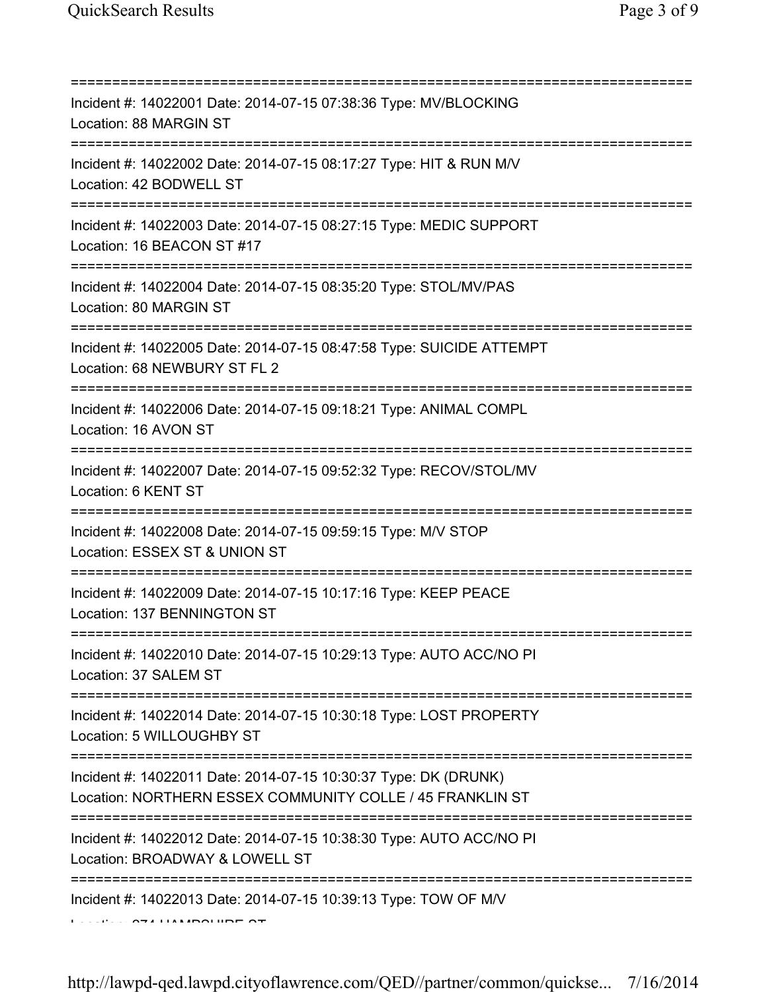| Incident #: 14022001 Date: 2014-07-15 07:38:36 Type: MV/BLOCKING<br>Location: 88 MARGIN ST                                                 |
|--------------------------------------------------------------------------------------------------------------------------------------------|
| Incident #: 14022002 Date: 2014-07-15 08:17:27 Type: HIT & RUN M/V<br>Location: 42 BODWELL ST<br>====================                      |
| Incident #: 14022003 Date: 2014-07-15 08:27:15 Type: MEDIC SUPPORT<br>Location: 16 BEACON ST #17<br>====================================== |
| Incident #: 14022004 Date: 2014-07-15 08:35:20 Type: STOL/MV/PAS<br>Location: 80 MARGIN ST<br>====================================         |
| Incident #: 14022005 Date: 2014-07-15 08:47:58 Type: SUICIDE ATTEMPT<br>Location: 68 NEWBURY ST FL 2                                       |
| Incident #: 14022006 Date: 2014-07-15 09:18:21 Type: ANIMAL COMPL<br>Location: 16 AVON ST                                                  |
| Incident #: 14022007 Date: 2014-07-15 09:52:32 Type: RECOV/STOL/MV<br>Location: 6 KENT ST                                                  |
| Incident #: 14022008 Date: 2014-07-15 09:59:15 Type: M/V STOP<br>Location: ESSEX ST & UNION ST                                             |
| Incident #: 14022009 Date: 2014-07-15 10:17:16 Type: KEEP PEACE<br>Location: 137 BENNINGTON ST                                             |
| Incident #: 14022010 Date: 2014-07-15 10:29:13 Type: AUTO ACC/NO PI<br>Location: 37 SALEM ST                                               |
| Incident #: 14022014 Date: 2014-07-15 10:30:18 Type: LOST PROPERTY<br>Location: 5 WILLOUGHBY ST                                            |
| Incident #: 14022011 Date: 2014-07-15 10:30:37 Type: DK (DRUNK)<br>Location: NORTHERN ESSEX COMMUNITY COLLE / 45 FRANKLIN ST               |
| Incident #: 14022012 Date: 2014-07-15 10:38:30 Type: AUTO ACC/NO PI<br>Location: BROADWAY & LOWELL ST                                      |
| Incident #: 14022013 Date: 2014-07-15 10:39:13 Type: TOW OF M/V                                                                            |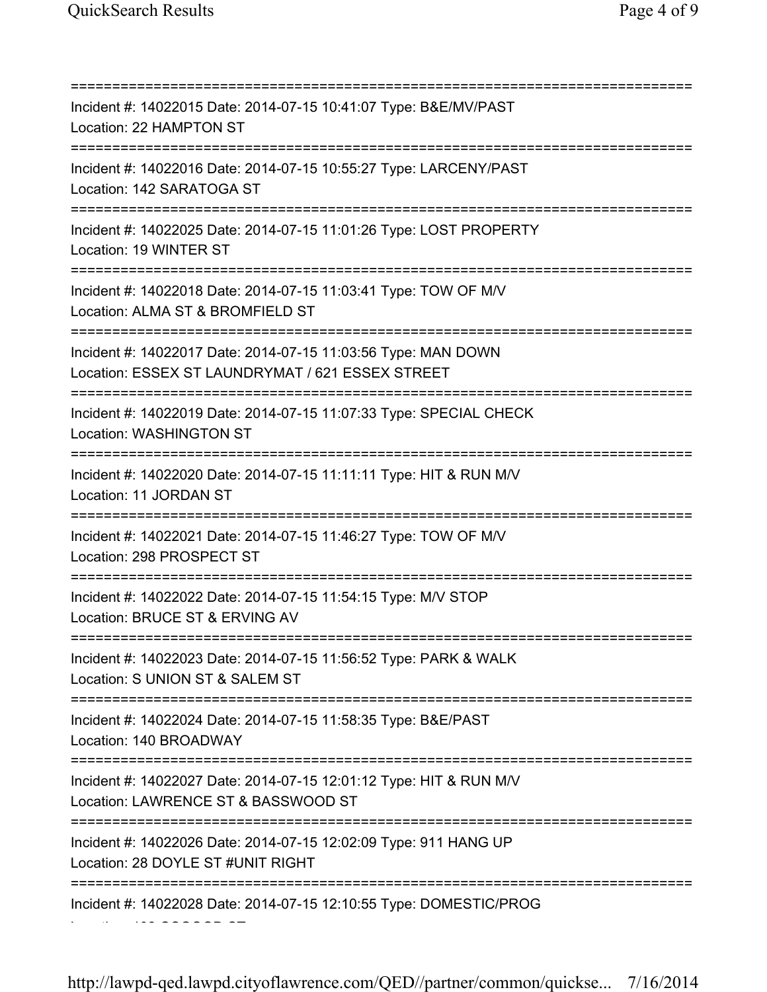=========================================================================== Incident #: 14022015 Date: 2014-07-15 10:41:07 Type: B&E/MV/PAST Location: 22 HAMPTON ST =========================================================================== Incident #: 14022016 Date: 2014-07-15 10:55:27 Type: LARCENY/PAST Location: 142 SARATOGA ST =========================================================================== Incident #: 14022025 Date: 2014-07-15 11:01:26 Type: LOST PROPERTY Location: 19 WINTER ST =========================================================================== Incident #: 14022018 Date: 2014-07-15 11:03:41 Type: TOW OF M/V Location: ALMA ST & BROMFIELD ST =========================================================================== Incident #: 14022017 Date: 2014-07-15 11:03:56 Type: MAN DOWN Location: ESSEX ST LAUNDRYMAT / 621 ESSEX STREET =========================================================================== Incident #: 14022019 Date: 2014-07-15 11:07:33 Type: SPECIAL CHECK Location: WASHINGTON ST =========================================================================== Incident #: 14022020 Date: 2014-07-15 11:11:11 Type: HIT & RUN M/V Location: 11 JORDAN ST =========================================================================== Incident #: 14022021 Date: 2014-07-15 11:46:27 Type: TOW OF M/V Location: 298 PROSPECT ST =========================================================================== Incident #: 14022022 Date: 2014-07-15 11:54:15 Type: M/V STOP Location: BRUCE ST & ERVING AV =========================================================================== Incident #: 14022023 Date: 2014-07-15 11:56:52 Type: PARK & WALK Location: S UNION ST & SALEM ST =========================================================================== Incident #: 14022024 Date: 2014-07-15 11:58:35 Type: B&E/PAST Location: 140 BROADWAY =========================================================================== Incident #: 14022027 Date: 2014-07-15 12:01:12 Type: HIT & RUN M/V Location: LAWRENCE ST & BASSWOOD ST =========================================================================== Incident #: 14022026 Date: 2014-07-15 12:02:09 Type: 911 HANG UP Location: 28 DOYLE ST #UNIT RIGHT =========================================================================== Incident #: 14022028 Date: 2014-07-15 12:10:55 Type: DOMESTIC/PROG Location: 192 OSGOOD ST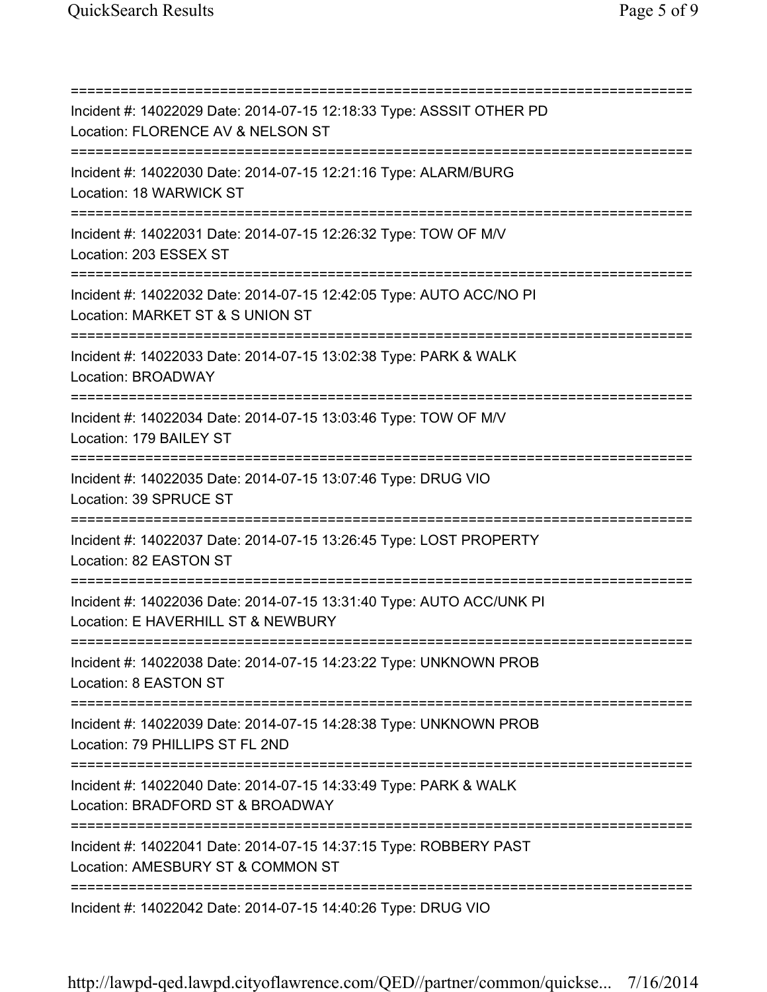=========================================================================== Incident #: 14022029 Date: 2014-07-15 12:18:33 Type: ASSSIT OTHER PD Location: FLORENCE AV & NELSON ST =========================================================================== Incident #: 14022030 Date: 2014-07-15 12:21:16 Type: ALARM/BURG Location: 18 WARWICK ST =========================================================================== Incident #: 14022031 Date: 2014-07-15 12:26:32 Type: TOW OF M/V Location: 203 ESSEX ST =========================================================================== Incident #: 14022032 Date: 2014-07-15 12:42:05 Type: AUTO ACC/NO PI Location: MARKET ST & S UNION ST =========================================================================== Incident #: 14022033 Date: 2014-07-15 13:02:38 Type: PARK & WALK Location: BROADWAY =========================================================================== Incident #: 14022034 Date: 2014-07-15 13:03:46 Type: TOW OF M/V Location: 179 BAILEY ST =========================================================================== Incident #: 14022035 Date: 2014-07-15 13:07:46 Type: DRUG VIO Location: 39 SPRUCE ST =========================================================================== Incident #: 14022037 Date: 2014-07-15 13:26:45 Type: LOST PROPERTY Location: 82 EASTON ST =========================================================================== Incident #: 14022036 Date: 2014-07-15 13:31:40 Type: AUTO ACC/UNK PI Location: E HAVERHILL ST & NEWBURY =========================================================================== Incident #: 14022038 Date: 2014-07-15 14:23:22 Type: UNKNOWN PROB Location: 8 EASTON ST =========================================================================== Incident #: 14022039 Date: 2014-07-15 14:28:38 Type: UNKNOWN PROB Location: 79 PHILLIPS ST FL 2ND =========================================================================== Incident #: 14022040 Date: 2014-07-15 14:33:49 Type: PARK & WALK Location: BRADFORD ST & BROADWAY =========================================================================== Incident #: 14022041 Date: 2014-07-15 14:37:15 Type: ROBBERY PAST Location: AMESBURY ST & COMMON ST =========================================================================== Incident #: 14022042 Date: 2014-07-15 14:40:26 Type: DRUG VIO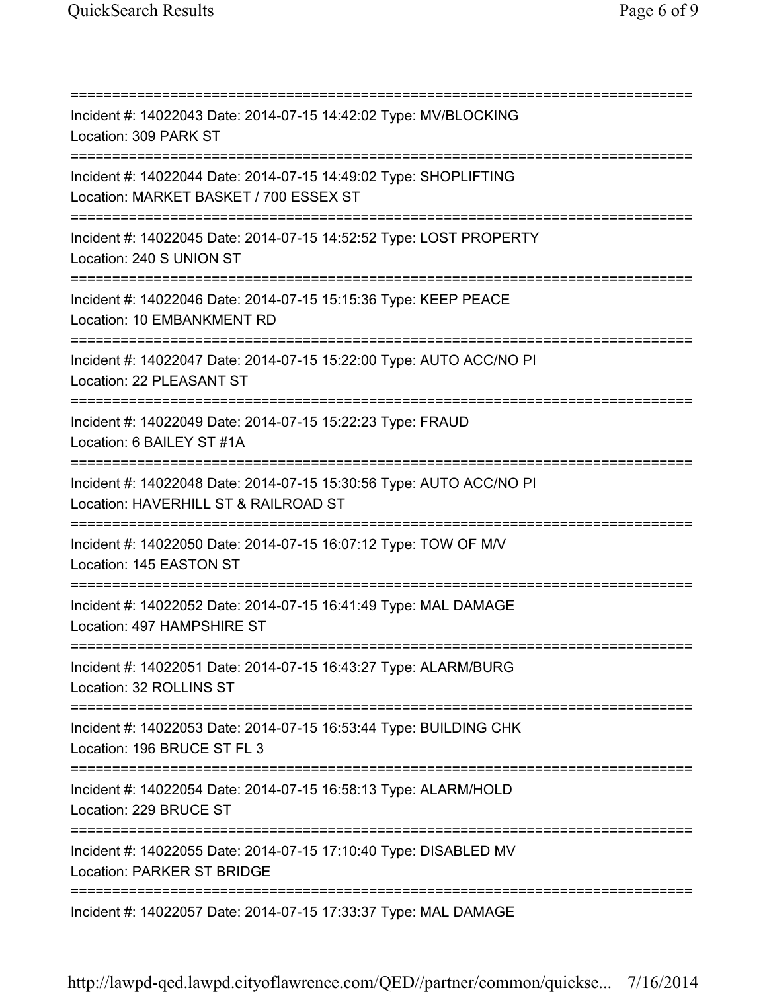=========================================================================== Incident #: 14022043 Date: 2014-07-15 14:42:02 Type: MV/BLOCKING Location: 309 PARK ST =========================================================================== Incident #: 14022044 Date: 2014-07-15 14:49:02 Type: SHOPLIFTING Location: MARKET BASKET / 700 ESSEX ST =========================================================================== Incident #: 14022045 Date: 2014-07-15 14:52:52 Type: LOST PROPERTY Location: 240 S UNION ST =========================================================================== Incident #: 14022046 Date: 2014-07-15 15:15:36 Type: KEEP PEACE Location: 10 EMBANKMENT RD =========================================================================== Incident #: 14022047 Date: 2014-07-15 15:22:00 Type: AUTO ACC/NO PI Location: 22 PLEASANT ST =========================================================================== Incident #: 14022049 Date: 2014-07-15 15:22:23 Type: FRAUD Location: 6 BAILEY ST #1A =========================================================================== Incident #: 14022048 Date: 2014-07-15 15:30:56 Type: AUTO ACC/NO PI Location: HAVERHILL ST & RAILROAD ST =========================================================================== Incident #: 14022050 Date: 2014-07-15 16:07:12 Type: TOW OF M/V Location: 145 EASTON ST =========================================================================== Incident #: 14022052 Date: 2014-07-15 16:41:49 Type: MAL DAMAGE Location: 497 HAMPSHIRE ST =========================================================================== Incident #: 14022051 Date: 2014-07-15 16:43:27 Type: ALARM/BURG Location: 32 ROLLINS ST =========================================================================== Incident #: 14022053 Date: 2014-07-15 16:53:44 Type: BUILDING CHK Location: 196 BRUCE ST FL 3 =========================================================================== Incident #: 14022054 Date: 2014-07-15 16:58:13 Type: ALARM/HOLD Location: 229 BRUCE ST =========================================================================== Incident #: 14022055 Date: 2014-07-15 17:10:40 Type: DISABLED MV Location: PARKER ST BRIDGE =========================================================================== Incident #: 14022057 Date: 2014-07-15 17:33:37 Type: MAL DAMAGE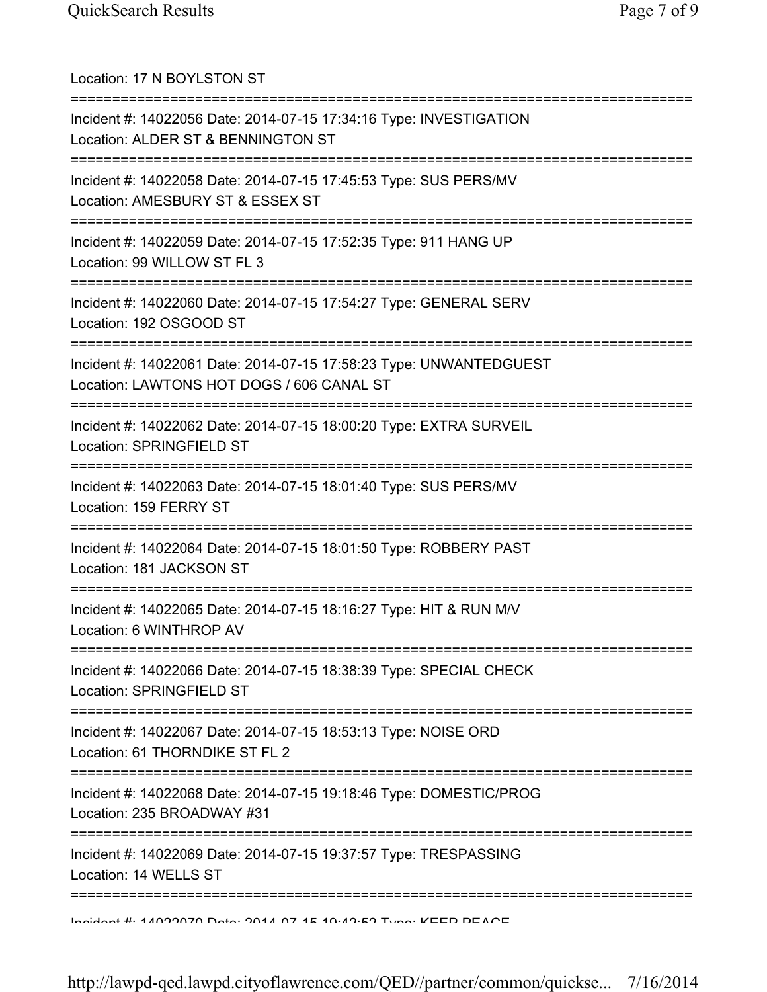| Location: 17 N BOYLSTON ST                                                                                                               |
|------------------------------------------------------------------------------------------------------------------------------------------|
| Incident #: 14022056 Date: 2014-07-15 17:34:16 Type: INVESTIGATION<br>Location: ALDER ST & BENNINGTON ST<br>============================ |
| Incident #: 14022058 Date: 2014-07-15 17:45:53 Type: SUS PERS/MV<br>Location: AMESBURY ST & ESSEX ST                                     |
| Incident #: 14022059 Date: 2014-07-15 17:52:35 Type: 911 HANG UP<br>Location: 99 WILLOW ST FL 3                                          |
| Incident #: 14022060 Date: 2014-07-15 17:54:27 Type: GENERAL SERV<br>Location: 192 OSGOOD ST<br>=====================================    |
| Incident #: 14022061 Date: 2014-07-15 17:58:23 Type: UNWANTEDGUEST<br>Location: LAWTONS HOT DOGS / 606 CANAL ST                          |
| Incident #: 14022062 Date: 2014-07-15 18:00:20 Type: EXTRA SURVEIL<br>Location: SPRINGFIELD ST                                           |
| Incident #: 14022063 Date: 2014-07-15 18:01:40 Type: SUS PERS/MV<br>Location: 159 FERRY ST                                               |
| Incident #: 14022064 Date: 2014-07-15 18:01:50 Type: ROBBERY PAST<br>Location: 181 JACKSON ST                                            |
| Incident #: 14022065 Date: 2014-07-15 18:16:27 Type: HIT & RUN M/V<br>Location: 6 WINTHROP AV                                            |
| Incident #: 14022066 Date: 2014-07-15 18:38:39 Type: SPECIAL CHECK<br>Location: SPRINGFIELD ST                                           |
| Incident #: 14022067 Date: 2014-07-15 18:53:13 Type: NOISE ORD<br>Location: 61 THORNDIKE ST FL 2                                         |
| Incident #: 14022068 Date: 2014-07-15 19:18:46 Type: DOMESTIC/PROG<br>Location: 235 BROADWAY #31                                         |
| :===========<br>Incident #: 14022069 Date: 2014-07-15 19:37:57 Type: TRESPASSING<br>Location: 14 WELLS ST                                |
| <u>Indident # 44000070 Data: 0044 07 45 40:40:50 Tune: IZEED DEACE</u>                                                                   |

http://lawpd-qed.lawpd.cityoflawrence.com/QED//partner/common/quickse... 7/16/2014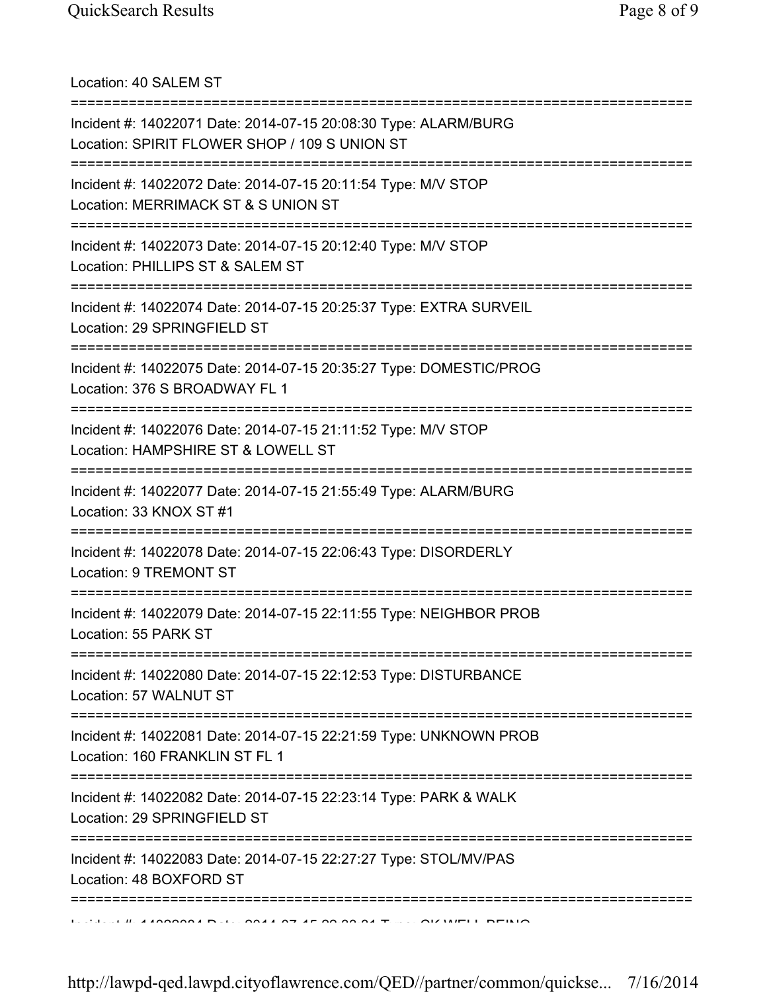Location: 40 SALEM ST =========================================================================== Incident #: 14022071 Date: 2014-07-15 20:08:30 Type: ALARM/BURG Location: SPIRIT FLOWER SHOP / 109 S UNION ST =========================================================================== Incident #: 14022072 Date: 2014-07-15 20:11:54 Type: M/V STOP Location: MERRIMACK ST & S UNION ST =========================================================================== Incident #: 14022073 Date: 2014-07-15 20:12:40 Type: M/V STOP Location: PHILLIPS ST & SALEM ST =========================================================================== Incident #: 14022074 Date: 2014-07-15 20:25:37 Type: EXTRA SURVEIL Location: 29 SPRINGFIELD ST =========================================================================== Incident #: 14022075 Date: 2014-07-15 20:35:27 Type: DOMESTIC/PROG Location: 376 S BROADWAY FL 1 =========================================================================== Incident #: 14022076 Date: 2014-07-15 21:11:52 Type: M/V STOP Location: HAMPSHIRE ST & LOWELL ST =========================================================================== Incident #: 14022077 Date: 2014-07-15 21:55:49 Type: ALARM/BURG Location: 33 KNOX ST #1 =========================================================================== Incident #: 14022078 Date: 2014-07-15 22:06:43 Type: DISORDERLY Location: 9 TREMONT ST =========================================================================== Incident #: 14022079 Date: 2014-07-15 22:11:55 Type: NEIGHBOR PROB Location: 55 PARK ST =========================================================================== Incident #: 14022080 Date: 2014-07-15 22:12:53 Type: DISTURBANCE Location: 57 WALNUT ST =========================================================================== Incident #: 14022081 Date: 2014-07-15 22:21:59 Type: UNKNOWN PROB Location: 160 FRANKLIN ST FL 1 =========================================================================== Incident #: 14022082 Date: 2014-07-15 22:23:14 Type: PARK & WALK Location: 29 SPRINGFIELD ST =========================================================================== Incident #: 14022083 Date: 2014-07-15 22:27:27 Type: STOL/MV/PAS Location: 48 BOXFORD ST ===========================================================================  $10.44000004$  D.I.  $2044.27$  The 20 20  $24.7$   $\ldots$  QUIMELL BEING

http://lawpd-qed.lawpd.cityoflawrence.com/QED//partner/common/quickse... 7/16/2014